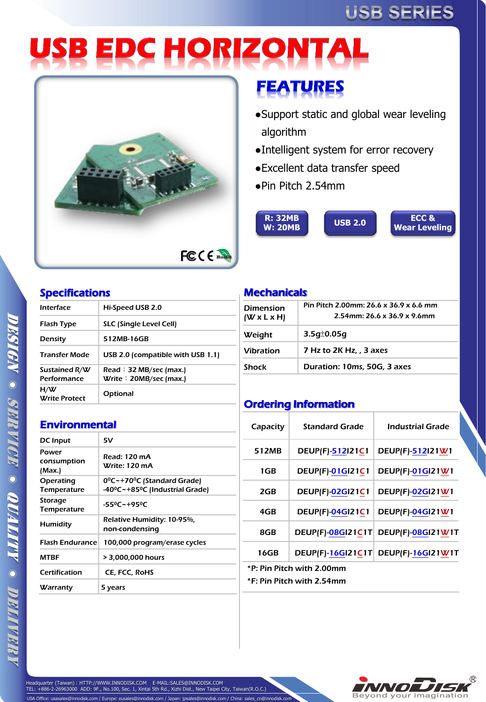# **USB SERIES**

# **USB EDC HORIZONTAL**



# **FEATURES**

- ●Support static and global wear leveling algorithm
- ●Intelligent system for error recovery
- ●Excellent data transfer speed
- ●Pin Pitch 2.54mm



## Specifications

| Hi-Speed USB 2.0                  |  |  |
|-----------------------------------|--|--|
| SLC (Single Level Cell)           |  |  |
| 512MB-16GB                        |  |  |
| USB 2.0 (compatible with USB 1.1) |  |  |
| Read : $32$ MB/sec (max.)         |  |  |
| Write: 20MB/sec (max.)            |  |  |
| Optional                          |  |  |
|                                   |  |  |

### **Mechanicals**

| <b>Dimension</b><br>$(W \times L \times H)$ | Pin Pitch 2.00mm: 26.6 x 36.9 x 6.6 mm<br>2.54mm: 26.6 x 36.9 x 9.6mm |  |  |
|---------------------------------------------|-----------------------------------------------------------------------|--|--|
| Weight                                      | $3.5q_{0}^{\pm}0.05q$                                                 |  |  |
| <b>Vibration</b>                            | 7 Hz to 2K Hz, 3 axes                                                 |  |  |
| <b>Shock</b>                                | Duration: 10ms, 50G, 3 axes                                           |  |  |

## Ordering Information

| <b>Environmental</b>           |                                                                                        |  |  |
|--------------------------------|----------------------------------------------------------------------------------------|--|--|
| DC Input                       | 5٧                                                                                     |  |  |
| Power<br>consumption<br>(Max.) | Read: 120 mA<br>Write: 120 mA                                                          |  |  |
| Operating<br>Temperature       | 0 <sup>o</sup> C~+70 <sup>o</sup> C (Standard Grade)<br>-40°C~+85°C (Industrial Grade) |  |  |
| Storage<br><b>Temperature</b>  | $-55^0C - +95^0C$                                                                      |  |  |
| Humidity                       | Relative Humidity: 10-95%,<br>non-condensing                                           |  |  |
| <b>Flash Endurance</b>         | 100,000 program/erase cycles                                                           |  |  |
| <b>MTRF</b>                    | > 3,000,000 hours                                                                      |  |  |
| Certification                  | CE, FCC, RoHS                                                                          |  |  |
| Warranty                       | 5 years                                                                                |  |  |

| Capacity                  | <b>Standard Grade</b>    | Industrial Grade        |  |  |  |
|---------------------------|--------------------------|-------------------------|--|--|--|
| 512MB                     | <b>DEUP(F)-512121C1</b>  | <b>DEUP(F)-512121W1</b> |  |  |  |
| 1GB                       | <b>DEUP(F)-01GI21C1</b>  | <b>DEUP(F)-01GI21W1</b> |  |  |  |
| 2GB                       | <b>DEUP(F)-02GI21C1</b>  | <b>DEUP(F)-02GI21W1</b> |  |  |  |
| 4GB                       | <b>DEUP(F)-04GI21C1</b>  | <b>DEUP(F)-04GI21W1</b> |  |  |  |
| 8GB                       | <b>DEUP(F)-08GI21C1T</b> | DEUP(F)-08GI21W1T       |  |  |  |
| 16GB                      | <b>DEUP(F)-16GI21C1T</b> | DEUP(F)-16GI21W1T       |  |  |  |
| *P: Pin Pitch with 2.00mm |                          |                         |  |  |  |
| *F: Pin Pitch with 2.54mm |                          |                         |  |  |  |